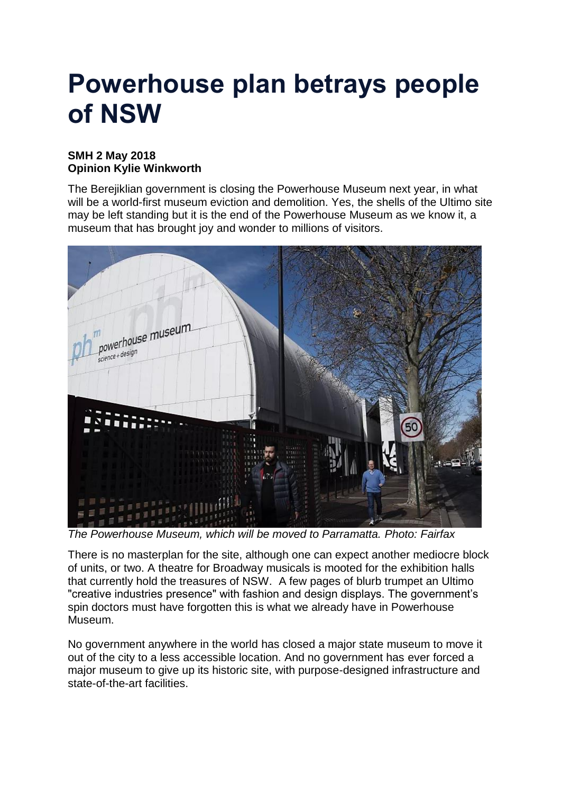## **Powerhouse plan betrays people of NSW**

## **SMH 2 May 2018 Opinion Kylie Winkworth**

The Berejiklian government is closing the Powerhouse Museum next year, in what will be a world-first museum eviction and demolition. Yes, the shells of the Ultimo site may be left standing but it is the end of the Powerhouse Museum as we know it, a museum that has brought joy and wonder to millions of visitors.



*The Powerhouse Museum, which will be moved to Parramatta. Photo: Fairfax*

There is no masterplan for the site, although one can expect another mediocre block of units, or two. A theatre for Broadway musicals is mooted for the exhibition halls that currently hold the treasures of NSW. A few pages of blurb trumpet an Ultimo "creative industries presence" with fashion and design displays. The government's spin doctors must have forgotten this is what we already have in Powerhouse Museum.

No government anywhere in the world has closed a major state museum to move it out of the city to a less accessible location. And no government has ever forced a major museum to give up its historic site, with purpose-designed infrastructure and state-of-the-art facilities.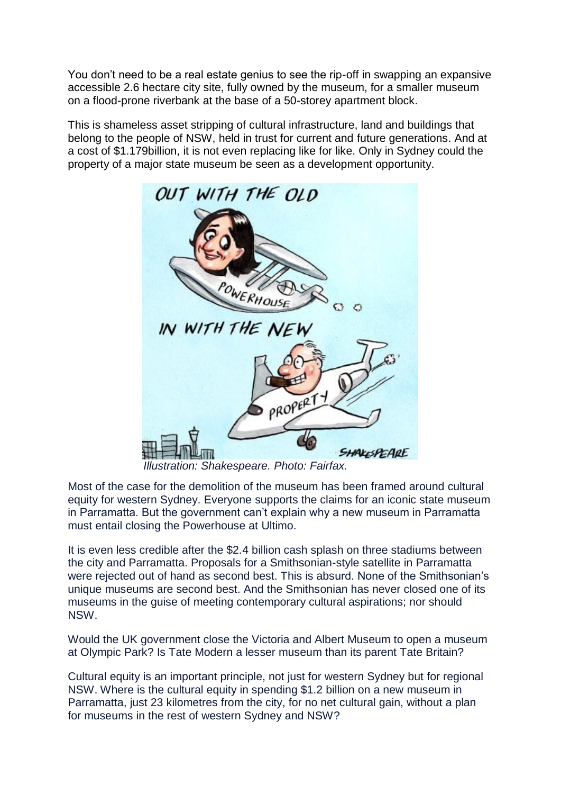You don't need to be a real estate genius to see the rip-off in swapping an expansive accessible 2.6 hectare city site, fully owned by the museum, for a smaller museum on a flood-prone riverbank at the base of a 50-storey apartment block.

This is shameless asset stripping of cultural infrastructure, land and buildings that belong to the people of NSW, held in trust for current and future generations. And at a cost of \$1.179billion, it is not even replacing like for like. Only in Sydney could the property of a major state museum be seen as a development opportunity.



 *Illustration: Shakespeare. Photo: Fairfax.*

Most of the case for the demolition of the museum has been framed around cultural equity for western Sydney. Everyone supports the claims for an iconic state museum in Parramatta. But the government can't explain why a new museum in Parramatta must entail closing the Powerhouse at Ultimo.

It is even less credible after the \$2.4 billion cash splash on three stadiums between the city and Parramatta. Proposals for a Smithsonian-style satellite in Parramatta were rejected out of hand as second best. This is absurd. None of the Smithsonian's unique museums are second best. And the Smithsonian has never closed one of its museums in the guise of meeting contemporary cultural aspirations; nor should NSW.

Would the UK government close the Victoria and Albert Museum to open a museum at Olympic Park? Is Tate Modern a lesser museum than its parent Tate Britain?

Cultural equity is an important principle, not just for western Sydney but for regional NSW. Where is the cultural equity in spending \$1.2 billion on a new museum in Parramatta, just 23 kilometres from the city, for no net cultural gain, without a plan for museums in the rest of western Sydney and NSW?